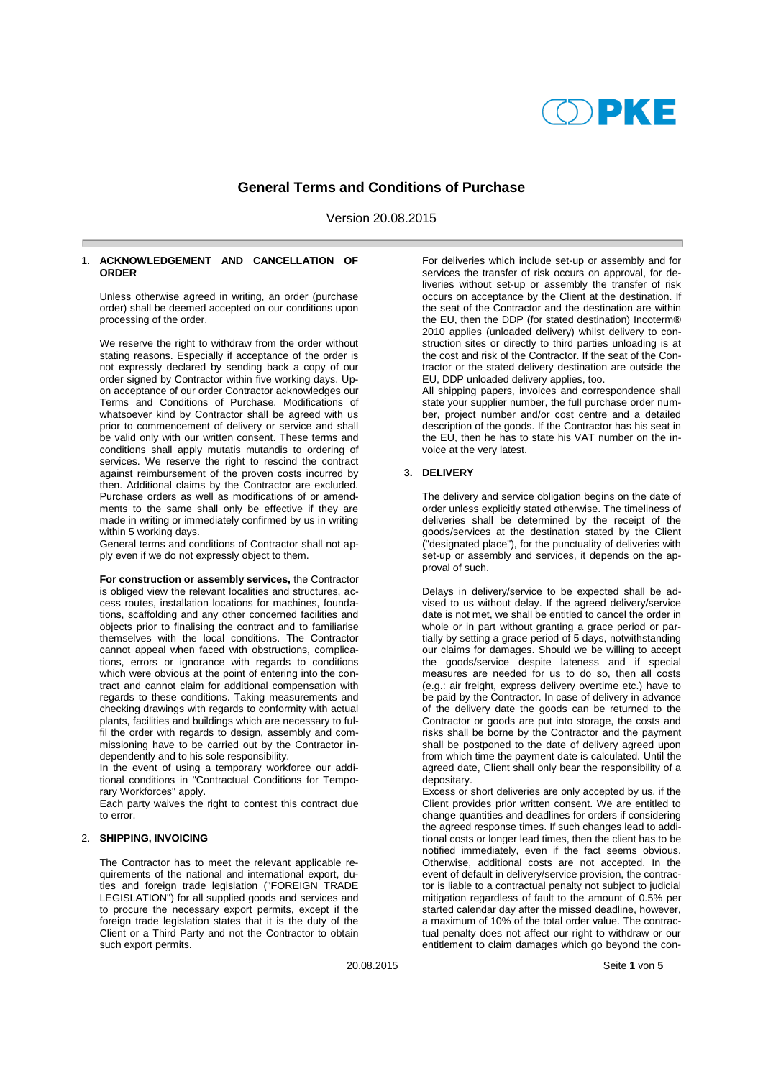# DPKE

## **General Terms and Conditions of Purchase**

Version 20.08.2015

## 1. **ACKNOWLEDGEMENT AND CANCELLATION OF ORDER**

Unless otherwise agreed in writing, an order (purchase order) shall be deemed accepted on our conditions upon processing of the order.

We reserve the right to withdraw from the order without stating reasons. Especially if acceptance of the order is not expressly declared by sending back a copy of our order signed by Contractor within five working days. Upon acceptance of our order Contractor acknowledges our Terms and Conditions of Purchase. Modifications of whatsoever kind by Contractor shall be agreed with us prior to commencement of delivery or service and shall be valid only with our written consent. These terms and conditions shall apply mutatis mutandis to ordering of services. We reserve the right to rescind the contract against reimbursement of the proven costs incurred by then. Additional claims by the Contractor are excluded. Purchase orders as well as modifications of or amendments to the same shall only be effective if they are made in writing or immediately confirmed by us in writing within 5 working days.

General terms and conditions of Contractor shall not apply even if we do not expressly object to them.

**For construction or assembly services,** the Contractor is obliged view the relevant localities and structures, access routes, installation locations for machines, foundations, scaffolding and any other concerned facilities and objects prior to finalising the contract and to familiarise themselves with the local conditions. The Contractor cannot appeal when faced with obstructions, complications, errors or ignorance with regards to conditions which were obvious at the point of entering into the contract and cannot claim for additional compensation with regards to these conditions. Taking measurements and checking drawings with regards to conformity with actual plants, facilities and buildings which are necessary to fulfil the order with regards to design, assembly and commissioning have to be carried out by the Contractor independently and to his sole responsibility.

In the event of using a temporary workforce our additional conditions in "Contractual Conditions for Temporary Workforces" apply.

Each party waives the right to contest this contract due to error.

## 2. **SHIPPING, INVOICING**

The Contractor has to meet the relevant applicable requirements of the national and international export, duties and foreign trade legislation ("FOREIGN TRADE LEGISLATION") for all supplied goods and services and to procure the necessary export permits, except if the foreign trade legislation states that it is the duty of the Client or a Third Party and not the Contractor to obtain such export permits.

For deliveries which include set-up or assembly and for services the transfer of risk occurs on approval, for deliveries without set-up or assembly the transfer of risk occurs on acceptance by the Client at the destination. If the seat of the Contractor and the destination are within the EU, then the DDP (for stated destination) Incoterm® 2010 applies (unloaded delivery) whilst delivery to construction sites or directly to third parties unloading is at the cost and risk of the Contractor. If the seat of the Contractor or the stated delivery destination are outside the EU, DDP unloaded delivery applies, too.

All shipping papers, invoices and correspondence shall state your supplier number, the full purchase order number, project number and/or cost centre and a detailed description of the goods. If the Contractor has his seat in the EU, then he has to state his VAT number on the invoice at the very latest.

#### **3. DELIVERY**

The delivery and service obligation begins on the date of order unless explicitly stated otherwise. The timeliness of deliveries shall be determined by the receipt of the goods/services at the destination stated by the Client ("designated place"), for the punctuality of deliveries with set-up or assembly and services, it depends on the approval of such.

Delays in delivery/service to be expected shall be advised to us without delay. If the agreed delivery/service date is not met, we shall be entitled to cancel the order in whole or in part without granting a grace period or partially by setting a grace period of 5 days, notwithstanding our claims for damages. Should we be willing to accept the goods/service despite lateness and if special measures are needed for us to do so, then all costs (e.g.: air freight, express delivery overtime etc.) have to be paid by the Contractor. In case of delivery in advance of the delivery date the goods can be returned to the Contractor or goods are put into storage, the costs and risks shall be borne by the Contractor and the payment shall be postponed to the date of delivery agreed upon from which time the payment date is calculated. Until the agreed date, Client shall only bear the responsibility of a depositary.

Excess or short deliveries are only accepted by us, if the Client provides prior written consent. We are entitled to change quantities and deadlines for orders if considering the agreed response times. If such changes lead to additional costs or longer lead times, then the client has to be notified immediately, even if the fact seems obvious. Otherwise, additional costs are not accepted. In the event of default in delivery/service provision, the contractor is liable to a contractual penalty not subject to judicial mitigation regardless of fault to the amount of 0.5% per started calendar day after the missed deadline, however, a maximum of 10% of the total order value. The contractual penalty does not affect our right to withdraw or our entitlement to claim damages which go beyond the con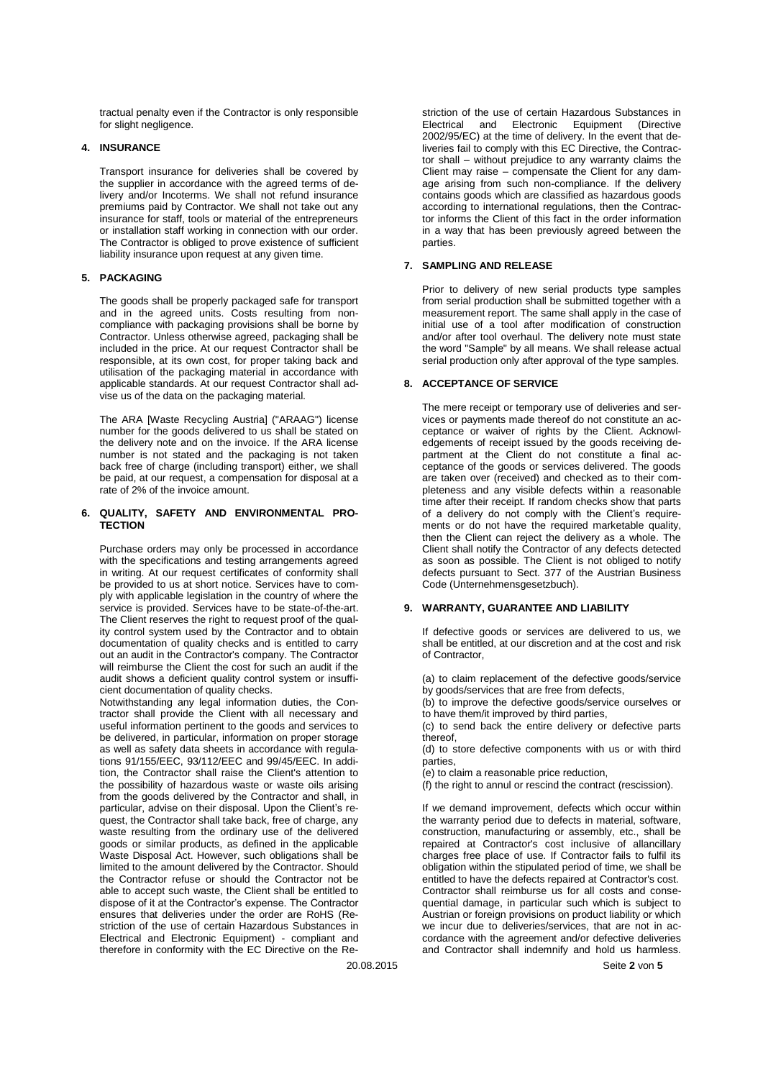tractual penalty even if the Contractor is only responsible for slight negligence.

## **4. INSURANCE**

Transport insurance for deliveries shall be covered by the supplier in accordance with the agreed terms of delivery and/or Incoterms. We shall not refund insurance premiums paid by Contractor. We shall not take out any insurance for staff, tools or material of the entrepreneurs or installation staff working in connection with our order. The Contractor is obliged to prove existence of sufficient liability insurance upon request at any given time.

## **5. PACKAGING**

The goods shall be properly packaged safe for transport and in the agreed units. Costs resulting from noncompliance with packaging provisions shall be borne by Contractor. Unless otherwise agreed, packaging shall be included in the price. At our request Contractor shall be responsible, at its own cost, for proper taking back and utilisation of the packaging material in accordance with applicable standards. At our request Contractor shall advise us of the data on the packaging material.

The ARA [Waste Recycling Austria] ("ARAAG") license number for the goods delivered to us shall be stated on the delivery note and on the invoice. If the ARA license number is not stated and the packaging is not taken back free of charge (including transport) either, we shall be paid, at our request, a compensation for disposal at a rate of 2% of the invoice amount.

#### **6. QUALITY, SAFETY AND ENVIRONMENTAL PRO-TECTION**

Purchase orders may only be processed in accordance with the specifications and testing arrangements agreed in writing. At our request certificates of conformity shall be provided to us at short notice. Services have to comply with applicable legislation in the country of where the service is provided. Services have to be state-of-the-art. The Client reserves the right to request proof of the quality control system used by the Contractor and to obtain documentation of quality checks and is entitled to carry out an audit in the Contractor's company. The Contractor will reimburse the Client the cost for such an audit if the audit shows a deficient quality control system or insufficient documentation of quality checks.

Notwithstanding any legal information duties, the Contractor shall provide the Client with all necessary and useful information pertinent to the goods and services to be delivered, in particular, information on proper storage as well as safety data sheets in accordance with regulations 91/155/EEC, 93/112/EEC and 99/45/EEC. In addition, the Contractor shall raise the Client's attention to the possibility of hazardous waste or waste oils arising from the goods delivered by the Contractor and shall, in particular, advise on their disposal. Upon the Client's request, the Contractor shall take back, free of charge, any waste resulting from the ordinary use of the delivered goods or similar products, as defined in the applicable Waste Disposal Act. However, such obligations shall be limited to the amount delivered by the Contractor. Should the Contractor refuse or should the Contractor not be able to accept such waste, the Client shall be entitled to dispose of it at the Contractor's expense. The Contractor ensures that deliveries under the order are RoHS (Restriction of the use of certain Hazardous Substances in Electrical and Electronic Equipment) - compliant and therefore in conformity with the EC Directive on the Restriction of the use of certain Hazardous Substances in<br>Electrical and Electronic Equipment (Directive Electrical and Electronic Equipment (Directive 2002/95/EC) at the time of delivery. In the event that deliveries fail to comply with this EC Directive, the Contractor shall – without prejudice to any warranty claims the Client may raise – compensate the Client for any damage arising from such non-compliance. If the delivery contains goods which are classified as hazardous goods according to international regulations, then the Contractor informs the Client of this fact in the order information in a way that has been previously agreed between the parties.

#### **7. SAMPLING AND RELEASE**

Prior to delivery of new serial products type samples from serial production shall be submitted together with a measurement report. The same shall apply in the case of initial use of a tool after modification of construction and/or after tool overhaul. The delivery note must state the word "Sample" by all means. We shall release actual serial production only after approval of the type samples.

## **8. ACCEPTANCE OF SERVICE**

The mere receipt or temporary use of deliveries and services or payments made thereof do not constitute an acceptance or waiver of rights by the Client. Acknowledgements of receipt issued by the goods receiving department at the Client do not constitute a final acceptance of the goods or services delivered. The goods are taken over (received) and checked as to their completeness and any visible defects within a reasonable time after their receipt. If random checks show that parts of a delivery do not comply with the Client's requirements or do not have the required marketable quality, then the Client can reject the delivery as a whole. The Client shall notify the Contractor of any defects detected as soon as possible. The Client is not obliged to notify defects pursuant to Sect. 377 of the Austrian Business Code (Unternehmensgesetzbuch).

## **9. WARRANTY, GUARANTEE AND LIABILITY**

If defective goods or services are delivered to us, we shall be entitled, at our discretion and at the cost and risk of Contractor,

(a) to claim replacement of the defective goods/service by goods/services that are free from defects,

(b) to improve the defective goods/service ourselves or to have them/it improved by third parties,

(c) to send back the entire delivery or defective parts thereof,

(d) to store defective components with us or with third parties,

(e) to claim a reasonable price reduction,

(f) the right to annul or rescind the contract (rescission).

If we demand improvement, defects which occur within the warranty period due to defects in material, software, construction, manufacturing or assembly, etc., shall be repaired at Contractor's cost inclusive of allancillary charges free place of use. If Contractor fails to fulfil its obligation within the stipulated period of time, we shall be entitled to have the defects repaired at Contractor's cost. Contractor shall reimburse us for all costs and consequential damage, in particular such which is subject to Austrian or foreign provisions on product liability or which we incur due to deliveries/services, that are not in accordance with the agreement and/or defective deliveries and Contractor shall indemnify and hold us harmless.

20.08.2015 Seite **2** von **5**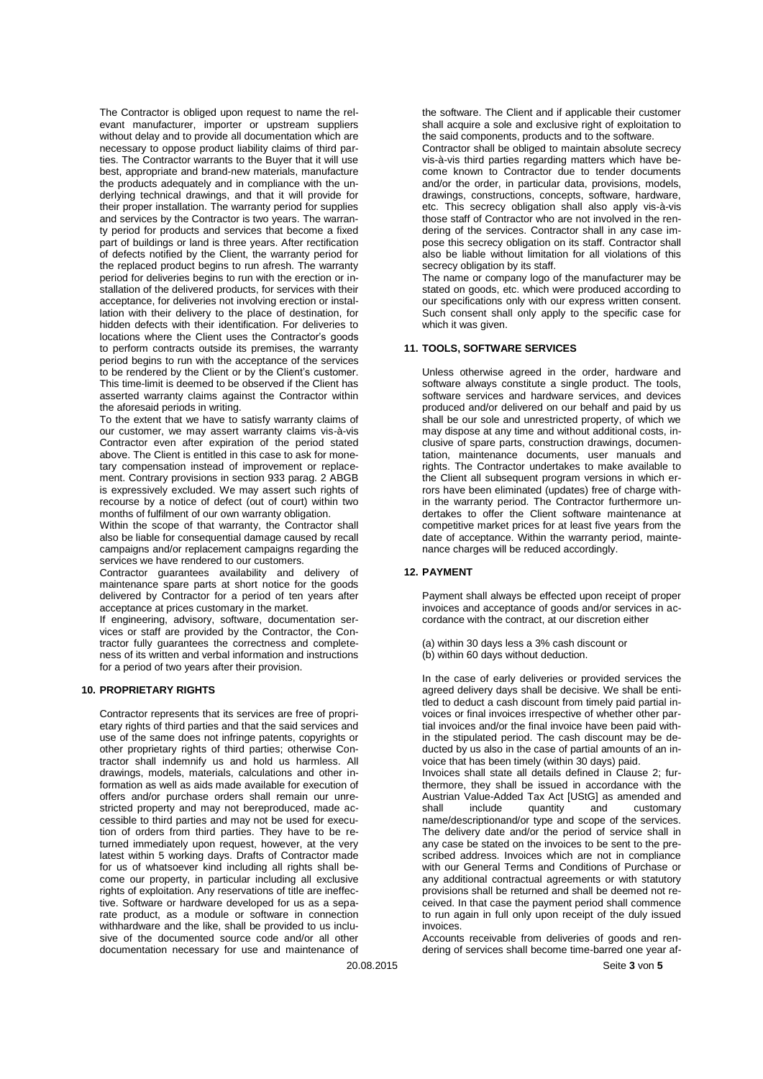The Contractor is obliged upon request to name the relevant manufacturer, importer or upstream suppliers without delay and to provide all documentation which are necessary to oppose product liability claims of third parties. The Contractor warrants to the Buyer that it will use best, appropriate and brand-new materials, manufacture the products adequately and in compliance with the underlying technical drawings, and that it will provide for their proper installation. The warranty period for supplies and services by the Contractor is two years. The warranty period for products and services that become a fixed part of buildings or land is three years. After rectification of defects notified by the Client, the warranty period for the replaced product begins to run afresh. The warranty period for deliveries begins to run with the erection or installation of the delivered products, for services with their acceptance, for deliveries not involving erection or installation with their delivery to the place of destination, for hidden defects with their identification. For deliveries to locations where the Client uses the Contractor's goods to perform contracts outside its premises, the warranty period begins to run with the acceptance of the services to be rendered by the Client or by the Client's customer. This time-limit is deemed to be observed if the Client has asserted warranty claims against the Contractor within the aforesaid periods in writing.

To the extent that we have to satisfy warranty claims of our customer, we may assert warranty claims vis-à-vis Contractor even after expiration of the period stated above. The Client is entitled in this case to ask for monetary compensation instead of improvement or replacement. Contrary provisions in section 933 parag. 2 ABGB is expressively excluded. We may assert such rights of recourse by a notice of defect (out of court) within two months of fulfilment of our own warranty obligation.

Within the scope of that warranty, the Contractor shall also be liable for consequential damage caused by recall campaigns and/or replacement campaigns regarding the services we have rendered to our customers.

Contractor guarantees availability and delivery of maintenance spare parts at short notice for the goods delivered by Contractor for a period of ten years after acceptance at prices customary in the market.

If engineering, advisory, software, documentation services or staff are provided by the Contractor, the Contractor fully guarantees the correctness and completeness of its written and verbal information and instructions for a period of two years after their provision.

#### **10. PROPRIETARY RIGHTS**

Contractor represents that its services are free of proprietary rights of third parties and that the said services and use of the same does not infringe patents, copyrights or other proprietary rights of third parties; otherwise Contractor shall indemnify us and hold us harmless. All drawings, models, materials, calculations and other information as well as aids made available for execution of offers and/or purchase orders shall remain our unrestricted property and may not bereproduced, made accessible to third parties and may not be used for execution of orders from third parties. They have to be returned immediately upon request, however, at the very latest within 5 working days. Drafts of Contractor made for us of whatsoever kind including all rights shall become our property, in particular including all exclusive rights of exploitation. Any reservations of title are ineffective. Software or hardware developed for us as a separate product, as a module or software in connection withhardware and the like, shall be provided to us inclusive of the documented source code and/or all other documentation necessary for use and maintenance of

the software. The Client and if applicable their customer shall acquire a sole and exclusive right of exploitation to the said components, products and to the software.

Contractor shall be obliged to maintain absolute secrecy vis-à-vis third parties regarding matters which have become known to Contractor due to tender documents and/or the order, in particular data, provisions, models, drawings, constructions, concepts, software, hardware, etc. This secrecy obligation shall also apply vis-à-vis those staff of Contractor who are not involved in the rendering of the services. Contractor shall in any case impose this secrecy obligation on its staff. Contractor shall also be liable without limitation for all violations of this secrecy obligation by its staff.

The name or company logo of the manufacturer may be stated on goods, etc. which were produced according to our specifications only with our express written consent. Such consent shall only apply to the specific case for which it was given.

#### **11. TOOLS, SOFTWARE SERVICES**

Unless otherwise agreed in the order, hardware and software always constitute a single product. The tools, software services and hardware services, and devices produced and/or delivered on our behalf and paid by us shall be our sole and unrestricted property, of which we may dispose at any time and without additional costs, inclusive of spare parts, construction drawings, documentation, maintenance documents, user manuals and rights. The Contractor undertakes to make available to the Client all subsequent program versions in which errors have been eliminated (updates) free of charge within the warranty period. The Contractor furthermore undertakes to offer the Client software maintenance at competitive market prices for at least five years from the date of acceptance. Within the warranty period, maintenance charges will be reduced accordingly.

#### **12. PAYMENT**

Payment shall always be effected upon receipt of proper invoices and acceptance of goods and/or services in accordance with the contract, at our discretion either

- (a) within 30 days less a 3% cash discount or (b) within 60 days without deduction.
- 

In the case of early deliveries or provided services the agreed delivery days shall be decisive. We shall be entitled to deduct a cash discount from timely paid partial invoices or final invoices irrespective of whether other partial invoices and/or the final invoice have been paid within the stipulated period. The cash discount may be deducted by us also in the case of partial amounts of an invoice that has been timely (within 30 days) paid.

Invoices shall state all details defined in Clause 2; furthermore, they shall be issued in accordance with the Austrian Value-Added Tax Act [UStG] as amended and include quantity and customary name/descriptionand/or type and scope of the services. The delivery date and/or the period of service shall in any case be stated on the invoices to be sent to the prescribed address. Invoices which are not in compliance with our General Terms and Conditions of Purchase or any additional contractual agreements or with statutory provisions shall be returned and shall be deemed not received. In that case the payment period shall commence to run again in full only upon receipt of the duly issued invoices.

Accounts receivable from deliveries of goods and rendering of services shall become time-barred one year af-

20.08.2015 Seite **3** von **5**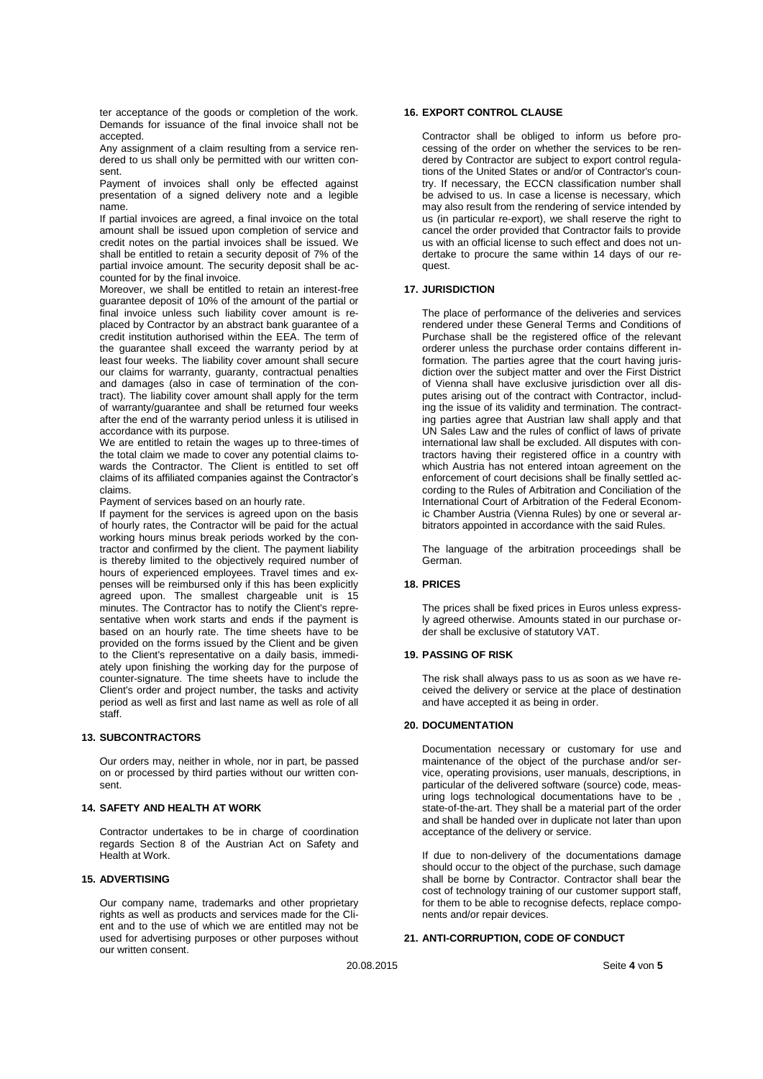ter acceptance of the goods or completion of the work. Demands for issuance of the final invoice shall not be accepted.

Any assignment of a claim resulting from a service rendered to us shall only be permitted with our written consent.

Payment of invoices shall only be effected against presentation of a signed delivery note and a legible name.

If partial invoices are agreed, a final invoice on the total amount shall be issued upon completion of service and credit notes on the partial invoices shall be issued. We shall be entitled to retain a security deposit of 7% of the partial invoice amount. The security deposit shall be accounted for by the final invoice.

Moreover, we shall be entitled to retain an interest-free guarantee deposit of 10% of the amount of the partial or final invoice unless such liability cover amount is replaced by Contractor by an abstract bank guarantee of a credit institution authorised within the EEA. The term of the guarantee shall exceed the warranty period by at least four weeks. The liability cover amount shall secure our claims for warranty, guaranty, contractual penalties and damages (also in case of termination of the contract). The liability cover amount shall apply for the term of warranty/guarantee and shall be returned four weeks after the end of the warranty period unless it is utilised in accordance with its purpose.

We are entitled to retain the wages up to three-times of the total claim we made to cover any potential claims towards the Contractor. The Client is entitled to set off claims of its affiliated companies against the Contractor's claims.

Payment of services based on an hourly rate.

If payment for the services is agreed upon on the basis of hourly rates, the Contractor will be paid for the actual working hours minus break periods worked by the contractor and confirmed by the client. The payment liability is thereby limited to the objectively required number of hours of experienced employees. Travel times and expenses will be reimbursed only if this has been explicitly agreed upon. The smallest chargeable unit is 15 minutes. The Contractor has to notify the Client's representative when work starts and ends if the payment is based on an hourly rate. The time sheets have to be provided on the forms issued by the Client and be given to the Client's representative on a daily basis, immediately upon finishing the working day for the purpose of counter-signature. The time sheets have to include the Client's order and project number, the tasks and activity period as well as first and last name as well as role of all staff.

#### **13. SUBCONTRACTORS**

Our orders may, neither in whole, nor in part, be passed on or processed by third parties without our written consent.

## **14. SAFETY AND HEALTH AT WORK**

Contractor undertakes to be in charge of coordination regards Section 8 of the Austrian Act on Safety and Health at Work.

#### **15. ADVERTISING**

Our company name, trademarks and other proprietary rights as well as products and services made for the Client and to the use of which we are entitled may not be used for advertising purposes or other purposes without our written consent.

## **16. EXPORT CONTROL CLAUSE**

Contractor shall be obliged to inform us before processing of the order on whether the services to be rendered by Contractor are subject to export control regulations of the United States or and/or of Contractor's country. If necessary, the ECCN classification number shall be advised to us. In case a license is necessary, which may also result from the rendering of service intended by us (in particular re-export), we shall reserve the right to cancel the order provided that Contractor fails to provide us with an official license to such effect and does not undertake to procure the same within 14 days of our request.

## **17. JURISDICTION**

The place of performance of the deliveries and services rendered under these General Terms and Conditions of Purchase shall be the registered office of the relevant orderer unless the purchase order contains different information. The parties agree that the court having jurisdiction over the subject matter and over the First District of Vienna shall have exclusive jurisdiction over all disputes arising out of the contract with Contractor, including the issue of its validity and termination. The contracting parties agree that Austrian law shall apply and that UN Sales Law and the rules of conflict of laws of private international law shall be excluded. All disputes with contractors having their registered office in a country with which Austria has not entered intoan agreement on the enforcement of court decisions shall be finally settled according to the Rules of Arbitration and Conciliation of the International Court of Arbitration of the Federal Economic Chamber Austria (Vienna Rules) by one or several arbitrators appointed in accordance with the said Rules.

The language of the arbitration proceedings shall be German.

## **18. PRICES**

The prices shall be fixed prices in Euros unless expressly agreed otherwise. Amounts stated in our purchase order shall be exclusive of statutory VAT.

#### **19. PASSING OF RISK**

The risk shall always pass to us as soon as we have received the delivery or service at the place of destination and have accepted it as being in order.

## **20. DOCUMENTATION**

Documentation necessary or customary for use and maintenance of the object of the purchase and/or service, operating provisions, user manuals, descriptions, in particular of the delivered software (source) code, measuring logs technological documentations have to be state-of-the-art. They shall be a material part of the order and shall be handed over in duplicate not later than upon acceptance of the delivery or service.

If due to non-delivery of the documentations damage should occur to the object of the purchase, such damage shall be borne by Contractor. Contractor shall bear the cost of technology training of our customer support staff, for them to be able to recognise defects, replace components and/or repair devices.

## **21. ANTI-CORRUPTION, CODE OF CONDUCT**